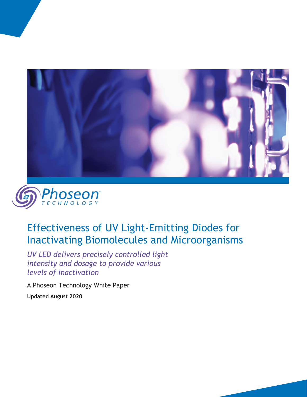



# Effectiveness of UV Light-Emitting Diodes for Inactivating Biomolecules and Microorganisms

*UV LED delivers precisely controlled light intensity and dosage to provide various levels of inactivation*

A Phoseon Technology White Paper **Updated August 2020**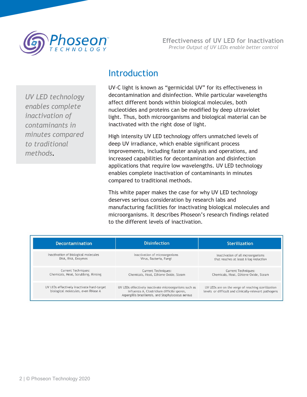

*UV LED technology enables complete inactivation of contaminants in minutes compared to traditional methods.*

#### Introduction

UV-C light is known as "germicidal UV" for its effectiveness in decontamination and disinfection. While particular wavelengths affect different bonds within biological molecules, both nucleotides and proteins can be modified by deep ultraviolet light. Thus, both microorganisms and biological material can be inactivated with the right dose of light.

High intensity UV LED technology offers unmatched levels of deep UV irradiance, which enable significant process improvements, including faster analysis and operations, and increased capabilities for decontamination and disinfection applications that require low wavelengths. UV LED technology enables complete inactivation of contaminants in minutes compared to traditional methods.

This white paper makes the case for why UV LED technology deserves serious consideration by research labs and manufacturing facilities for inactivating biological molecules and microorganisms. It describes Phoseon's research findings related to the different levels of inactivation.

| <b>Decontamination</b>                                                           | <b>Disinfection</b>                                                                                                                                       | <b>Sterilization</b>                                                                                        |
|----------------------------------------------------------------------------------|-----------------------------------------------------------------------------------------------------------------------------------------------------------|-------------------------------------------------------------------------------------------------------------|
| Inactivation of biological molecules                                             | Inactivation of microorganisms                                                                                                                            | Inactivation of all mcroorganisms                                                                           |
| DNA, RNA, Enzymes                                                                | Virus, Bacteria, Fungi                                                                                                                                    | that reaches at least 6 log reduction                                                                       |
| <b>Current Techniques:</b>                                                       | <b>Current Techniques:</b>                                                                                                                                | <b>Current Techniques:</b>                                                                                  |
| Chemicals, Heat, Scrubbing, Rinsing                                              | Chemicals, Heat, Ethlene Oxide, Steam                                                                                                                     | Chemicals, Heat, Ethlene Oxide, Steam                                                                       |
| UV LEDs effectively inactivate hard-target<br>biological molecules, even RNase A | UV LEDs effectively inactivate microorganisms such as<br>Influenza A, Clostridium difficile spores,<br>Aspergillis brasiliensis, and Staphylococus aereus | UV LEDs are on the verge of reaching sterilization<br>levels or difficult and clinically-relevant pathogens |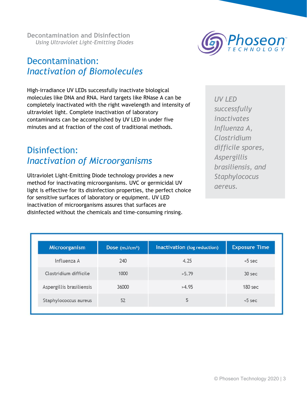### Decontamination: *Inactivation of Biomolecules*

High-irradiance UV LEDs successfully inactivate biological molecules like DNA and RNA. Hard targets like RNase A can be completely inactivated with the right wavelength and intensity of ultraviolet light. Complete inactivation of laboratory contaminants can be accomplished by UV LED in under five minutes and at fraction of the cost of traditional methods.

#### Disinfection: *Inactivation of Microorganisms*

Ultraviolet Light-Emitting Diode technology provides a new method for inactivating microorganisms. UVC or germicidal UV light is effective for its disinfection properties, the perfect choice for sensitive surfaces of laboratory or equipment. UV LED inactivation of microorganisms assures that surfaces are disinfected without the chemicals and time-consuming rinsing.

| <b>UV LED</b>     |
|-------------------|
| successfully      |
| inactivates       |
| Influenza A,      |
| Clostridium       |
| difficile spores, |
| Aspergillis       |
| brasiliensis, and |
| Staphylococus     |
| aereus.           |

| Microorganism            | Dose $(mJ/cm2)$ | Inactivation (log reduction) | <b>Exposure Time</b> |
|--------------------------|-----------------|------------------------------|----------------------|
| Influenza A              | 240             | 4.25                         | $5$ sec              |
| Clostridium difficile    | 1000            | >5.79                        | 30 sec               |
| Aspergillis brasiliensis | 36000           | >4.95                        | 180 <sub>sec</sub>   |
| Staphylococcus aureus    | 52              | 5                            | $5$ sec              |

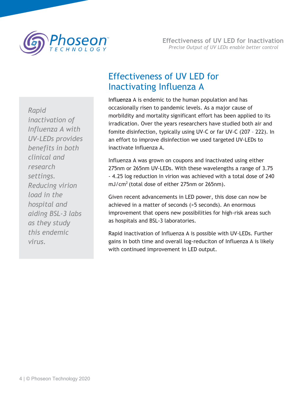

*Rapid inactivation of Influenza A with UV-LEDs provides benefits in both clinical and research settings. Reducing virion load in the hospital and aiding BSL-3 labs as they study this endemic virus.* 

## Effectiveness of UV LED for Inactivating Influenza A

Influenza A is endemic to the human population and has occasionally risen to pandemic levels. As a major cause of morbildity and mortality significant effort has been applied to its irradication. Over the years researchers have studied both air and fomite disinfection, typically using UV-C or far UV-C (207 – 222). In an effort to improve disinfection we used targeted UV-LEDs to inactivate Influenza A.

Influenza A was grown on coupons and inactivated using either 275nm or 265nm UV-LEDs. With these wavelengths a range of 3.75 - 4.25 log reduction in virion was achieved with a total dose of 240  $mJ/cm<sup>2</sup>$  (total dose of either 275nm or 265nm).

Given recent advancements in LED power, this dose can now be achieved in a matter of seconds (>5 seconds). An enormous improvement that opens new possibilities for high-risk areas such as hospitals and BSL-3 laboratories.

Rapid inactivation of Influenza A is possible with UV-LEDs. Further gains in both time and overall log-reduciton of Influenza A is likely with continued improvement in LED output.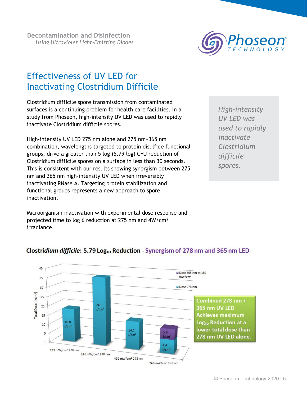

### Effectiveness of UV LED for Inactivating Clostridium Difficile

Clostridium difficile spore transmission from contaminated surfaces is a continuing problem for health care facilities. In a study from Phoseon, high-intensity UV LED was used to rapidly inactivate Clostridium difficile spores.

High-intensity UV LED 275 nm alone and 275 nm+365 nm combination, wavelengths targeted to protein disulfide functional groups, drive a greater than 5 log (5.79 log) CFU reduction of Clostridium difficile spores on a surface in less than 30 seconds. This is consistent with our results showing synergism between 275 nm and 365 nm high-intensity UV LED when irreversibly inactivating RNase A. Targeting protein stabilization and functional groups represents a new approach to spore inactivation.

Microorganism inactivation with experimental dose response and projected time to log 6 reduction at 275 nm and 4W/cm² irradiance.

*High-intensity UV LED was used to rapidly inactivate Clostridium difficile spores.*



#### Clostridium difficile: 5.79 Log<sub>10</sub> Reduction - Synergism of 278 nm and 365 nm LED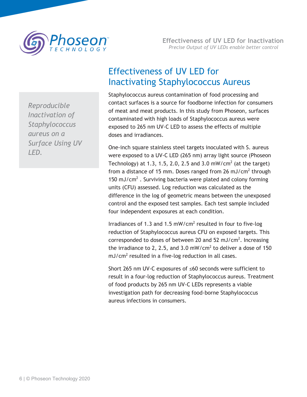

*Reproducible Inactivation of Staphylococcus aureus on a Surface Using UV LED.*

## Effectiveness of UV LED for Inactivating Staphylococcus Aureus

Staphylococcus aureus contamination of food processing and contact surfaces is a source for foodborne infection for consumers of meat and meat products. In this study from Phoseon, surfaces contaminated with high loads of Staphylococcus aureus were exposed to 265 nm UV-C LED to assess the effects of multiple doses and irradiances.

One-inch square stainless steel targets inoculated with S. aureus were exposed to a UV-C LED (265 nm) array light source (Phoseon Technology) at 1.3, 1.5, 2.0, 2.5 and 3.0 mW/cm<sup>2</sup> (at the target) from a distance of 15 mm. Doses ranged from 26 mJ/cm<sup>2</sup> through 150 mJ/cm<sup>2</sup>. Surviving bacteria were plated and colony forming units (CFU) assessed. Log reduction was calculated as the difference in the log of geometric means between the unexposed control and the exposed test samples. Each test sample included four independent exposures at each condition.

Irradiances of 1.3 and 1.5 mW/cm<sup>2</sup> resulted in four to five-log reduction of Staphylococcus aureus CFU on exposed targets. This corresponded to doses of between 20 and 52 mJ/cm<sup>2</sup>. Increasing the irradiance to 2, 2.5, and 3.0 mW/cm<sup>2</sup> to deliver a dose of 150  $mJ/cm<sup>2</sup>$  resulted in a five-log reduction in all cases.

Short 265 nm UV-C exposures of ≤60 seconds were sufficient to result in a four-log reduction of Staphylococcus aureus. Treatment of food products by 265 nm UV-C LEDs represents a viable investigation path for decreasing food-borne Staphylococcus aureus infections in consumers.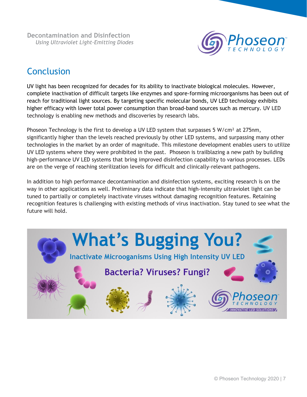

### **Conclusion**

UV light has been recognized for decades for its ability to inactivate biological molecules. However, complete inactivation of difficult targets like enzymes and spore-forming microorganisms has been out of reach for traditional light sources. By targeting specific molecular bonds, UV LED technology exhibits higher efficacy with lower total power consumption than broad-band sources such as mercury. UV LED technology is enabling new methods and discoveries by research labs.

Phoseon Technology is the first to develop a UV LED system that surpasses 5 W/cm<sup>2</sup> at 275nm, significantly higher than the levels reached previously by other LED systems, and surpassing many other technologies in the market by an order of magnitude. This milestone development enables users to utilize UV LED systems where they were prohibited in the past. Phoseon is trailblazing a new path by building high-performance UV LED systems that bring improved disinfection capability to various processes. LEDs are on the verge of reaching sterilization levels for difficult and clinically-relevant pathogens.

In addition to high performance decontamination and disinfection systems, exciting research is on the way in other applications as well. Preliminary data indicate that high-intensity ultraviolet light can be tuned to partially or completely inactivate viruses without damaging recognition features. Retaining recognition features is challenging with existing methods of virus inactivation. Stay tuned to see what the future will hold.

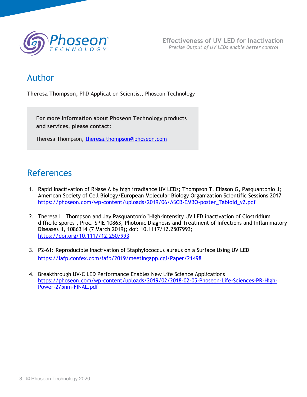

#### Author

**Theresa Thompson,** PhD Application Scientist, Phoseon Technology

**For more information about Phoseon Technology products and services, please contact:**

Theresa Thompson, [theresa.thompson@phoseon.com](mailto:theresa.thompson@phoseon.com)

## References

- 1. Rapid inactivation of RNase A by high irradiance UV LEDs; Thompson T, Eliason G, Pasquantonio J; American Society of Cell Biology/European Molecular Biology Organization Scientific Sessions 2017 [https://phoseon.com/wp-content/uploads/2019/06/ASCB-EMBO-poster\\_Tabloid\\_v2.pdf](https://phoseon.com/wp-content/uploads/2019/06/ASCB-EMBO-poster_Tabloid_v2.pdf)
- 2. Theresa L. Thompson and Jay Pasquantonio "High-intensity UV LED inactivation of Clostridium difficile spores", Proc. SPIE 10863, Photonic Diagnosis and Treatment of Infections and Inflammatory Diseases II, 1086314 (7 March 2019); doi: 10.1117/12.2507993; <https://doi.org/10.1117/12.2507993>
- 3. P2-61: Reproducible Inactivation of Staphylococcus aureus on a Surface Using UV LED <https://iafp.confex.com/iafp/2019/meetingapp.cgi/Paper/21498>
- 4. Breakthrough UV-C LED Performance Enables New Life Science Applications [https://phoseon.com/wp-content/uploads/2019/02/2018-02-05-Phoseon-Life-Sciences-PR-High-](https://phoseon.com/wp-content/uploads/2019/02/2018-02-05-Phoseon-Life-Sciences-PR-High-Power-275nm-FINAL.pdf)[Power-275nm-FINAL.pdf](https://phoseon.com/wp-content/uploads/2019/02/2018-02-05-Phoseon-Life-Sciences-PR-High-Power-275nm-FINAL.pdf)